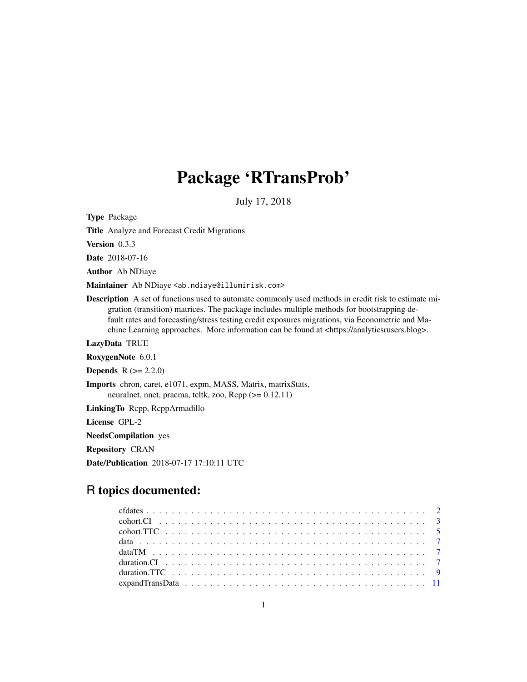# Package 'RTransProb'

July 17, 2018

Type Package

Title Analyze and Forecast Credit Migrations

Version 0.3.3

Date 2018-07-16

Author Ab NDiaye

Maintainer Ab NDiaye <ab.ndiaye@illumirisk.com>

Description A set of functions used to automate commonly used methods in credit risk to estimate migration (transition) matrices. The package includes multiple methods for bootstrapping default rates and forecasting/stress testing credit exposures migrations, via Econometric and Machine Learning approaches. More information can be found at <https://analyticsrusers.blog>.

LazyData TRUE

RoxygenNote 6.0.1

**Depends**  $R (= 2.2.0)$ 

Imports chron, caret, e1071, expm, MASS, Matrix, matrixStats, neuralnet, nnet, pracma, tcltk, zoo, Rcpp (>= 0.12.11)

LinkingTo Rcpp, RcppArmadillo

License GPL-2

NeedsCompilation yes

Repository CRAN

Date/Publication 2018-07-17 17:10:11 UTC

# R topics documented: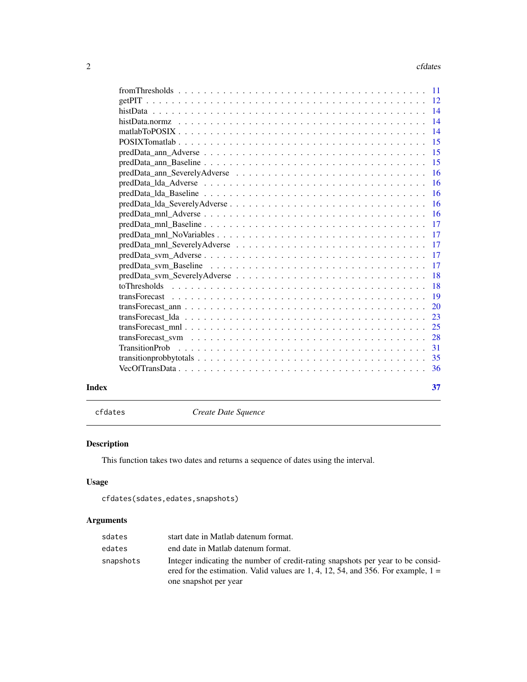#### <span id="page-1-0"></span> $2 \cos \theta$  cfdates

| Index | 37 |
|-------|----|

cfdates *Create Date Squence*

# Description

This function takes two dates and returns a sequence of dates using the interval.

# Usage

```
cfdates(sdates,edates,snapshots)
```
# Arguments

| sdates    | start date in Matlab datenum format.                                                                                                                                                                |
|-----------|-----------------------------------------------------------------------------------------------------------------------------------------------------------------------------------------------------|
| edates    | end date in Matlab datenum format.                                                                                                                                                                  |
| snapshots | Integer indicating the number of credit-rating snapshots per year to be considered.<br>ered for the estimation. Valid values are 1, 4, 12, 54, and 356. For example, $1 =$<br>one snapshot per year |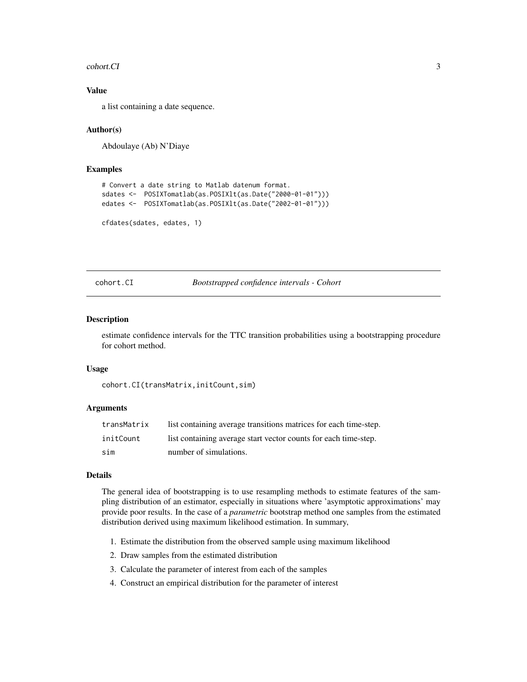#### <span id="page-2-0"></span>cohort.CI 3

#### Value

a list containing a date sequence.

#### Author(s)

Abdoulaye (Ab) N'Diaye

#### Examples

```
# Convert a date string to Matlab datenum format.
sdates <- POSIXTomatlab(as.POSIXlt(as.Date("2000-01-01")))
edates <- POSIXTomatlab(as.POSIXlt(as.Date("2002-01-01")))
```

```
cfdates(sdates, edates, 1)
```
cohort.CI *Bootstrapped confidence intervals - Cohort*

#### Description

estimate confidence intervals for the TTC transition probabilities using a bootstrapping procedure for cohort method.

#### Usage

```
cohort.CI(transMatrix,initCount,sim)
```
#### Arguments

| transMatrix | list containing average transitions matrices for each time-step. |
|-------------|------------------------------------------------------------------|
| initCount   | list containing average start vector counts for each time-step.  |
| sim         | number of simulations.                                           |

#### Details

The general idea of bootstrapping is to use resampling methods to estimate features of the sampling distribution of an estimator, especially in situations where 'asymptotic approximations' may provide poor results. In the case of a *parametric* bootstrap method one samples from the estimated distribution derived using maximum likelihood estimation. In summary,

- 1. Estimate the distribution from the observed sample using maximum likelihood
- 2. Draw samples from the estimated distribution
- 3. Calculate the parameter of interest from each of the samples
- 4. Construct an empirical distribution for the parameter of interest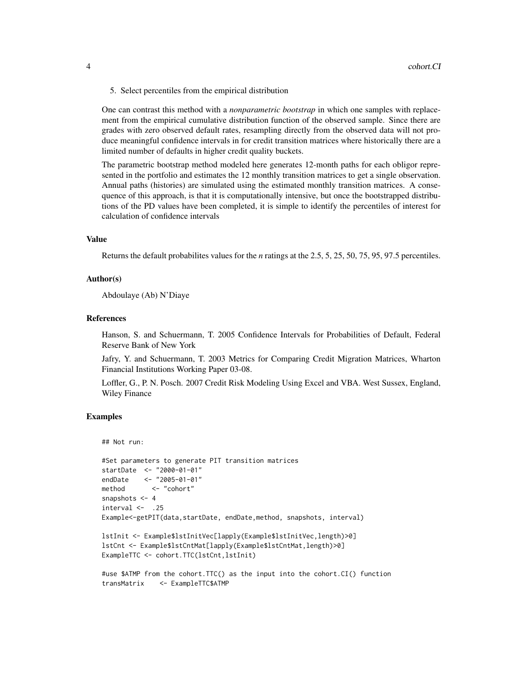5. Select percentiles from the empirical distribution

One can contrast this method with a *nonparametric bootstrap* in which one samples with replacement from the empirical cumulative distribution function of the observed sample. Since there are grades with zero observed default rates, resampling directly from the observed data will not produce meaningful confidence intervals in for credit transition matrices where historically there are a limited number of defaults in higher credit quality buckets.

The parametric bootstrap method modeled here generates 12-month paths for each obligor represented in the portfolio and estimates the 12 monthly transition matrices to get a single observation. Annual paths (histories) are simulated using the estimated monthly transition matrices. A consequence of this approach, is that it is computationally intensive, but once the bootstrapped distributions of the PD values have been completed, it is simple to identify the percentiles of interest for calculation of confidence intervals

#### Value

Returns the default probabilites values for the *n* ratings at the 2.5, 5, 25, 50, 75, 95, 97.5 percentiles.

#### Author(s)

Abdoulaye (Ab) N'Diaye

#### References

Hanson, S. and Schuermann, T. 2005 Confidence Intervals for Probabilities of Default, Federal Reserve Bank of New York

Jafry, Y. and Schuermann, T. 2003 Metrics for Comparing Credit Migration Matrices, Wharton Financial Institutions Working Paper 03-08.

Loffler, G., P. N. Posch. 2007 Credit Risk Modeling Using Excel and VBA. West Sussex, England, Wiley Finance

#### Examples

```
## Not run:
```

```
#Set parameters to generate PIT transition matrices
startDate <- "2000-01-01"
endDate <- "2005-01-01"
method <- "cohort"
snapshots <-4interval < -25Example<-getPIT(data,startDate, endDate,method, snapshots, interval)
```

```
lstInit <- Example$lstInitVec[lapply(Example$lstInitVec,length)>0]
lstCnt <- Example$lstCntMat[lapply(Example$lstCntMat,length)>0]
ExampleTTC <- cohort.TTC(lstCnt,lstInit)
```

```
#use $ATMP from the cohort.TTC() as the input into the cohort.CI() function
transMatrix <- ExampleTTC$ATMP
```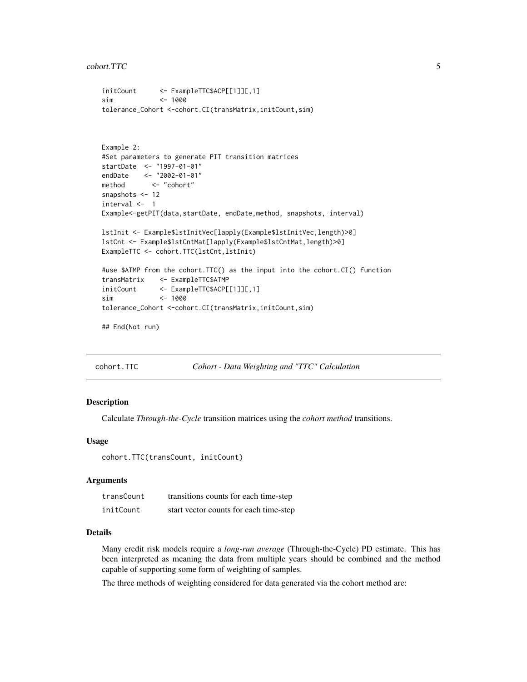```
initCount <- ExampleTTC$ACP[[1]][,1]
sim <- 1000
tolerance_Cohort <-cohort.CI(transMatrix,initCount,sim)
Example 2:
#Set parameters to generate PIT transition matrices
startDate <- "1997-01-01"
endDate <- "2002-01-01"
method <- "cohort"
snapshots <- 12
interval <- 1
Example<-getPIT(data,startDate, endDate,method, snapshots, interval)
lstInit <- Example$lstInitVec[lapply(Example$lstInitVec,length)>0]
lstCnt <- Example$lstCntMat[lapply(Example$lstCntMat,length)>0]
ExampleTTC <- cohort.TTC(lstCnt,lstInit)
#use $ATMP from the cohort.TTC() as the input into the cohort.CI() function
transMatrix <- ExampleTTC$ATMP
initCount <- ExampleTTC$ACP[[1]][,1]
sim <- 1000
tolerance_Cohort <-cohort.CI(transMatrix,initCount,sim)
## End(Not run)
```
cohort.TTC *Cohort - Data Weighting and "TTC" Calculation*

#### Description

Calculate *Through-the-Cycle* transition matrices using the *cohort method* transitions.

#### Usage

cohort.TTC(transCount, initCount)

#### Arguments

| transCount | transitions counts for each time-step  |
|------------|----------------------------------------|
| initCount  | start vector counts for each time-step |

#### **Details**

Many credit risk models require a *long-run average* (Through-the-Cycle) PD estimate. This has been interpreted as meaning the data from multiple years should be combined and the method capable of supporting some form of weighting of samples.

The three methods of weighting considered for data generated via the cohort method are: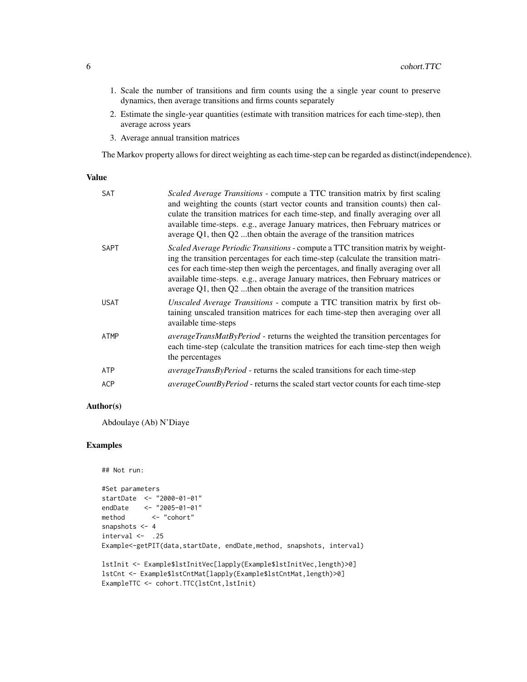- 1. Scale the number of transitions and firm counts using the a single year count to preserve dynamics, then average transitions and firms counts separately
- 2. Estimate the single-year quantities (estimate with transition matrices for each time-step), then average across years
- 3. Average annual transition matrices

The Markov property allows for direct weighting as each time-step can be regarded as distinct(independence).

#### Value

| <b>SAT</b>  | <i>Scaled Average Transitions -</i> compute a TTC transition matrix by first scaling<br>and weighting the counts (start vector counts and transition counts) then cal-<br>culate the transition matrices for each time-step, and finally averaging over all<br>available time-steps. e.g., average January matrices, then February matrices or<br>average $Q1$ , then $Q2$ then obtain the average of the transition matrices |
|-------------|-------------------------------------------------------------------------------------------------------------------------------------------------------------------------------------------------------------------------------------------------------------------------------------------------------------------------------------------------------------------------------------------------------------------------------|
| <b>SAPT</b> | Scaled Average Periodic Transitions - compute a TTC transition matrix by weight-<br>ing the transition percentages for each time-step (calculate the transition matri-<br>ces for each time-step then weigh the percentages, and finally averaging over all<br>available time-steps. e.g., average January matrices, then February matrices or<br>average $Q1$ , then $Q2$ then obtain the average of the transition matrices |
| <b>USAT</b> | <i>Unscaled Average Transitions - compute a TTC transition matrix by first ob-</i><br>taining unscaled transition matrices for each time-step then averaging over all<br>available time-steps                                                                                                                                                                                                                                 |
| ATMP        | <i>averageTransMatByPeriod</i> - returns the weighted the transition percentages for<br>each time-step (calculate the transition matrices for each time-step then weigh<br>the percentages                                                                                                                                                                                                                                    |
| ATP         | averageTransByPeriod - returns the scaled transitions for each time-step                                                                                                                                                                                                                                                                                                                                                      |
| <b>ACP</b>  | <i>averageCountByPeriod</i> - returns the scaled start vector counts for each time-step                                                                                                                                                                                                                                                                                                                                       |
|             |                                                                                                                                                                                                                                                                                                                                                                                                                               |

# Author(s)

Abdoulaye (Ab) N'Diaye

# Examples

```
## Not run:
#Set parameters
startDate <- "2000-01-01"
endDate <- "2005-01-01"
method <- "cohort"
snapshots <- 4
interval < -.25
Example<-getPIT(data,startDate, endDate,method, snapshots, interval)
lstInit <- Example$lstInitVec[lapply(Example$lstInitVec,length)>0]
lstCnt <- Example$lstCntMat[lapply(Example$lstCntMat,length)>0]
ExampleTTC <- cohort.TTC(lstCnt,lstInit)
```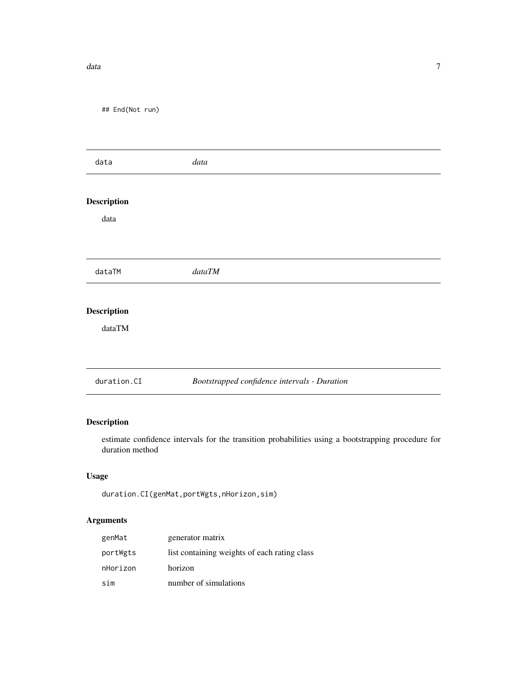#### <span id="page-6-0"></span>data and the contract of the contract of the contract of the contract of the contract of the contract of the contract of the contract of the contract of the contract of the contract of the contract of the contract of the c

## End(Not run)

| data        | data                                         |  |
|-------------|----------------------------------------------|--|
|             |                                              |  |
| Description |                                              |  |
| data        |                                              |  |
|             |                                              |  |
|             |                                              |  |
| dataTM      | dataTM                                       |  |
|             |                                              |  |
| Description |                                              |  |
| dataTM      |                                              |  |
|             |                                              |  |
|             |                                              |  |
| duration.CI | Bootstrapped confidence intervals - Duration |  |
|             |                                              |  |

# Description

estimate confidence intervals for the transition probabilities using a bootstrapping procedure for duration method

# Usage

```
duration.CI(genMat,portWgts,nHorizon,sim)
```
# Arguments

| genMat   | generator matrix                             |
|----------|----------------------------------------------|
| portWgts | list containing weights of each rating class |
| nHorizon | horizon                                      |
| sim      | number of simulations                        |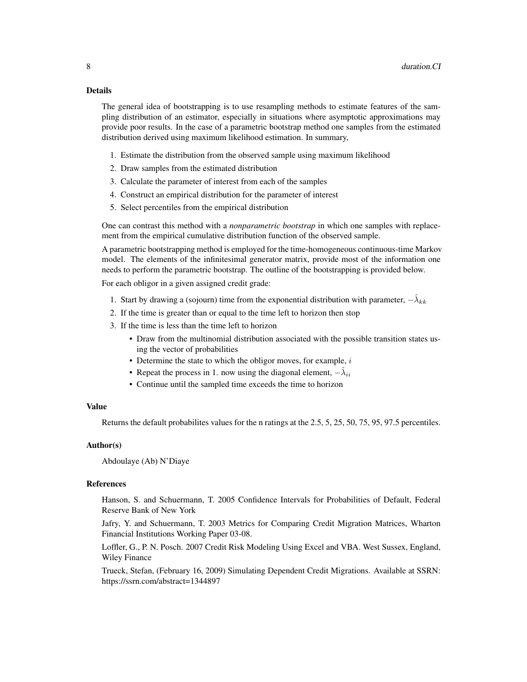#### Details

The general idea of bootstrapping is to use resampling methods to estimate features of the sampling distribution of an estimator, especially in situations where asymptotic approximations may provide poor results. In the case of a parametric bootstrap method one samples from the estimated distribution derived using maximum likelihood estimation. In summary,

- 1. Estimate the distribution from the observed sample using maximum likelihood
- 2. Draw samples from the estimated distribution
- 3. Calculate the parameter of interest from each of the samples
- 4. Construct an empirical distribution for the parameter of interest
- 5. Select percentiles from the empirical distribution

One can contrast this method with a *nonparametric bootstrap* in which one samples with replacement from the empirical cumulative distribution function of the observed sample.

A parametric bootstrapping method is employed for the time-homogeneous continuous-time Markov model. The elements of the infinitesimal generator matrix, provide most of the information one needs to perform the parametric bootstrap. The outline of the bootstrapping is provided below.

For each obligor in a given assigned credit grade:

- 1. Start by drawing a (sojourn) time from the exponential distribution with parameter,  $-\hat{\lambda}_{kk}$
- 2. If the time is greater than or equal to the time left to horizon then stop
- 3. If the time is less than the time left to horizon
	- Draw from the multinomial distribution associated with the possible transition states using the vector of probabilities
	- Determine the state to which the obligor moves, for example,  $i$
	- Repeat the process in 1. now using the diagonal element,  $-\hat{\lambda}_{ii}$
	- Continue until the sampled time exceeds the time to horizon

#### Value

Returns the default probabilites values for the n ratings at the 2.5, 5, 25, 50, 75, 95, 97.5 percentiles.

#### Author(s)

Abdoulaye (Ab) N'Diaye

#### **References**

Hanson, S. and Schuermann, T. 2005 Confidence Intervals for Probabilities of Default, Federal Reserve Bank of New York

Jafry, Y. and Schuermann, T. 2003 Metrics for Comparing Credit Migration Matrices, Wharton Financial Institutions Working Paper 03-08.

Loffler, G., P. N. Posch. 2007 Credit Risk Modeling Using Excel and VBA. West Sussex, England, Wiley Finance

Trueck, Stefan, (February 16, 2009) Simulating Dependent Credit Migrations. Available at SSRN: https://ssrn.com/abstract=1344897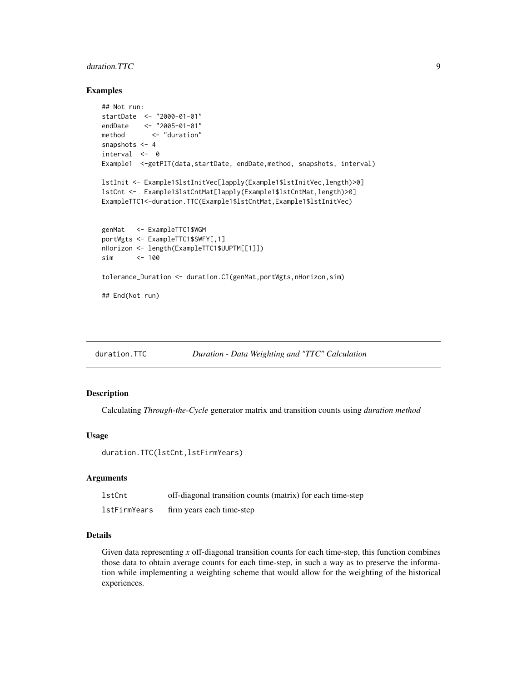# <span id="page-8-0"></span>duration.TTC 9

#### Examples

```
## Not run:
startDate <- "2000-01-01"
endDate <- "2005-01-01"
method <- "duration"
snapshots <-4interval <- 0
Example1 <- getPIT(data, startDate, endDate, method, snapshots, interval)
lstInit <- Example1$lstInitVec[lapply(Example1$lstInitVec,length)>0]
lstCnt <- Example1$lstCntMat[lapply(Example1$lstCntMat,length)>0]
ExampleTTC1<-duration.TTC(Example1$lstCntMat,Example1$lstInitVec)
genMat <- ExampleTTC1$WGM
portWgts <- ExampleTTC1$SWFY[,1]
nHorizon <- length(ExampleTTC1$UUPTM[[1]])
sim <- 100
tolerance_Duration <- duration.CI(genMat,portWgts,nHorizon,sim)
## End(Not run)
```
duration.TTC *Duration - Data Weighting and "TTC" Calculation*

#### Description

Calculating *Through-the-Cycle* generator matrix and transition counts using *duration method*

#### Usage

duration.TTC(lstCnt,lstFirmYears)

#### Arguments

| lstCnt       | off-diagonal transition counts (matrix) for each time-step |
|--------------|------------------------------------------------------------|
| lstFirmYears | firm years each time-step                                  |

#### Details

Given data representing *x* off-diagonal transition counts for each time-step, this function combines those data to obtain average counts for each time-step, in such a way as to preserve the information while implementing a weighting scheme that would allow for the weighting of the historical experiences.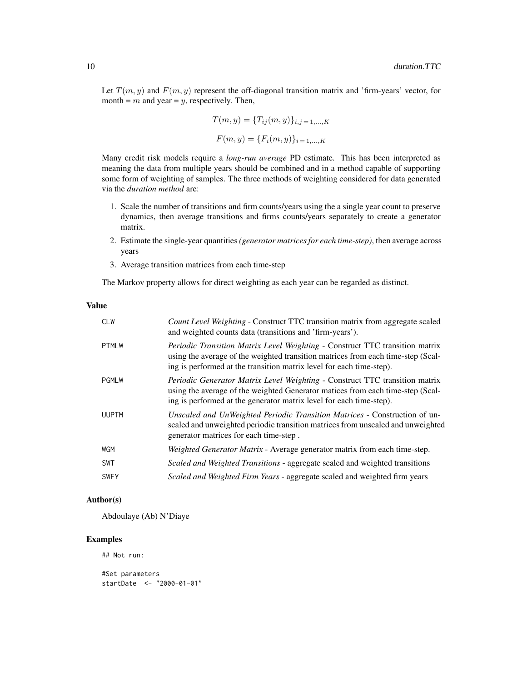Let  $T(m, y)$  and  $F(m, y)$  represent the off-diagonal transition matrix and 'firm-years' vector, for month =  $m$  and year =  $y$ , respectively. Then,

$$
T(m, y) = \{T_{ij}(m, y)\}_{i, j = 1, \dots, K}
$$

 $F(m, y) = \{F_i(m, y)\}_{i=1,...,K}$ 

Many credit risk models require a *long-run average* PD estimate. This has been interpreted as meaning the data from multiple years should be combined and in a method capable of supporting some form of weighting of samples. The three methods of weighting considered for data generated via the *duration method* are:

- 1. Scale the number of transitions and firm counts/years using the a single year count to preserve dynamics, then average transitions and firms counts/years separately to create a generator matrix.
- 2. Estimate the single-year quantities*(generator matrices for each time-step)*, then average across years
- 3. Average transition matrices from each time-step

The Markov property allows for direct weighting as each year can be regarded as distinct.

### Value

| <b>CLW</b>   | Count Level Weighting - Construct TTC transition matrix from aggregate scaled<br>and weighted counts data (transitions and 'firm-years').                                                                                                       |
|--------------|-------------------------------------------------------------------------------------------------------------------------------------------------------------------------------------------------------------------------------------------------|
| <b>PTMLW</b> | <i>Periodic Transition Matrix Level Weighting - Construct TTC transition matrix</i><br>using the average of the weighted transition matrices from each time-step (Scal-<br>ing is performed at the transition matrix level for each time-step). |
| <b>PGMLW</b> | <i>Periodic Generator Matrix Level Weighting - Construct TTC transition matrix</i><br>using the average of the weighted Generator matices from each time-step (Scal-<br>ing is performed at the generator matrix level for each time-step).     |
| <b>UUPTM</b> | Unscaled and UnWeighted Periodic Transition Matrices - Construction of un-<br>scaled and unweighted periodic transition matrices from unscaled and unweighted<br>generator matrices for each time-step.                                         |
| <b>WGM</b>   | <i>Weighted Generator Matrix</i> - Average generator matrix from each time-step.                                                                                                                                                                |
| <b>SWT</b>   | Scaled and Weighted Transitions - aggregate scaled and weighted transitions                                                                                                                                                                     |
| <b>SWFY</b>  | Scaled and Weighted Firm Years - aggregate scaled and weighted firm years                                                                                                                                                                       |

#### Author(s)

Abdoulaye (Ab) N'Diaye

# Examples

## Not run:

```
#Set parameters
startDate <- "2000-01-01"
```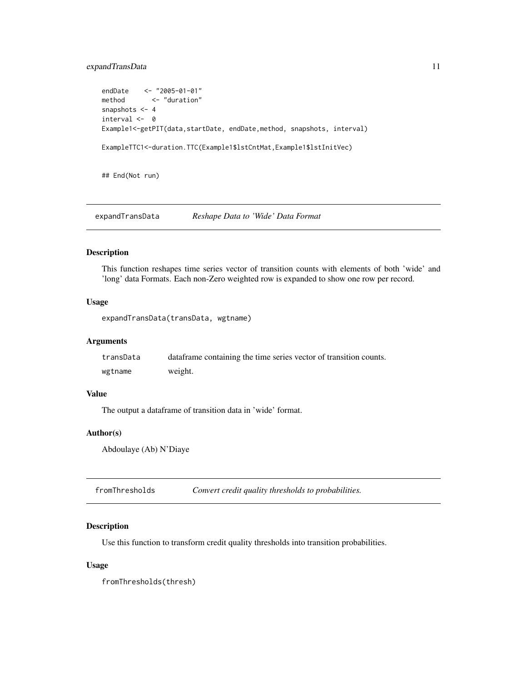# <span id="page-10-0"></span>expandTransData 11

```
endDate <- "2005-01-01"
method <- "duration"
snapshots <- 4
interval <- 0
Example1<-getPIT(data,startDate, endDate,method, snapshots, interval)
ExampleTTC1<-duration.TTC(Example1$lstCntMat,Example1$lstInitVec)
```
## End(Not run)

expandTransData *Reshape Data to 'Wide' Data Format*

#### Description

This function reshapes time series vector of transition counts with elements of both 'wide' and 'long' data Formats. Each non-Zero weighted row is expanded to show one row per record.

#### Usage

expandTransData(transData, wgtname)

#### Arguments

| transData | data frame containing the time series vector of transition counts. |
|-----------|--------------------------------------------------------------------|
| wgtname   | weight.                                                            |

#### Value

The output a dataframe of transition data in 'wide' format.

#### Author(s)

Abdoulaye (Ab) N'Diaye

fromThresholds *Convert credit quality thresholds to probabilities.*

# Description

Use this function to transform credit quality thresholds into transition probabilities.

#### Usage

fromThresholds(thresh)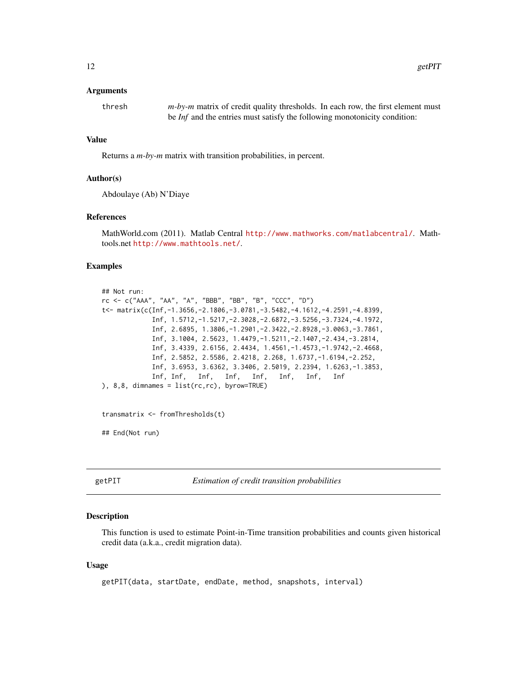#### <span id="page-11-0"></span>Arguments

| thresh | $m$ -by-m matrix of credit quality thresholds. In each row, the first element must |
|--------|------------------------------------------------------------------------------------|
|        | be <i>Inf</i> and the entries must satisfy the following monotonicity condition:   |

#### Value

Returns a *m-by-m* matrix with transition probabilities, in percent.

#### Author(s)

Abdoulaye (Ab) N'Diaye

# References

MathWorld.com (2011). Matlab Central <http://www.mathworks.com/matlabcentral/>. Mathtools.net <http://www.mathtools.net/>.

#### Examples

```
## Not run:
rc <- c("AAA", "AA", "A", "BBB", "BB", "B", "CCC", "D")
t<- matrix(c(Inf,-1.3656,-2.1806,-3.0781,-3.5482,-4.1612,-4.2591,-4.8399,
            Inf, 1.5712,-1.5217,-2.3028,-2.6872,-3.5256,-3.7324,-4.1972,
            Inf, 2.6895, 1.3806,-1.2901,-2.3422,-2.8928,-3.0063,-3.7861,
            Inf, 3.1004, 2.5623, 1.4479,-1.5211,-2.1407,-2.434,-3.2814,
            Inf, 3.4339, 2.6156, 2.4434, 1.4561,-1.4573,-1.9742,-2.4668,
            Inf, 2.5852, 2.5586, 2.4218, 2.268, 1.6737,-1.6194,-2.252,
            Inf, 3.6953, 3.6362, 3.3406, 2.5019, 2.2394, 1.6263,-1.3853,
            Inf, Inf, Inf, Inf, Inf, Inf, Inf, Inf
), 8,8, dimnames = list(rc,rc), byrow=TRUE)
transmatrix <- fromThresholds(t)
## End(Not run)
```
getPIT *Estimation of credit transition probabilities*

#### Description

This function is used to estimate Point-in-Time transition probabilities and counts given historical credit data (a.k.a., credit migration data).

#### Usage

getPIT(data, startDate, endDate, method, snapshots, interval)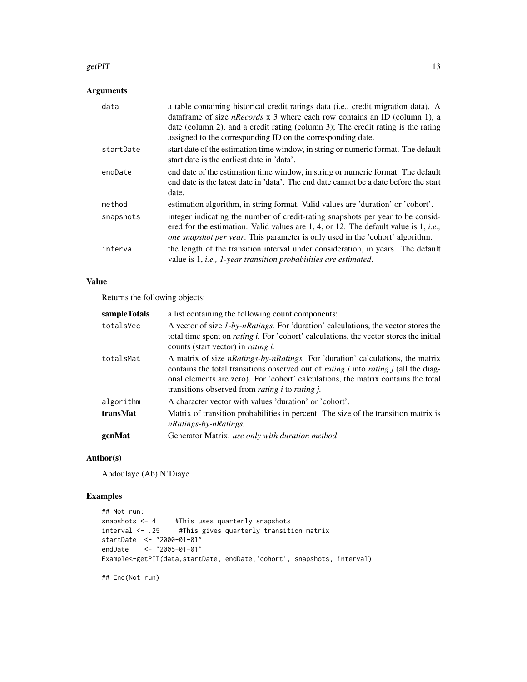#### getPIT  $\qquad \qquad$  13

# Arguments

| data      | a table containing historical credit ratings data (i.e., credit migration data). A<br>data frame of size <i>nRecords</i> $x$ 3 where each row contains an ID (column 1), a<br>date (column 2), and a credit rating (column 3); The credit rating is the rating<br>assigned to the corresponding ID on the corresponding date. |
|-----------|-------------------------------------------------------------------------------------------------------------------------------------------------------------------------------------------------------------------------------------------------------------------------------------------------------------------------------|
| startDate | start date of the estimation time window, in string or numeric format. The default<br>start date is the earliest date in 'data'.                                                                                                                                                                                              |
| endDate   | end date of the estimation time window, in string or numeric format. The default<br>end date is the latest date in 'data'. The end date cannot be a date before the start<br>date.                                                                                                                                            |
| method    | estimation algorithm, in string format. Valid values are 'duration' or 'cohort'.                                                                                                                                                                                                                                              |
| snapshots | integer indicating the number of credit-rating snapshots per year to be consid-<br>ered for the estimation. Valid values are 1, 4, or 12. The default value is 1, <i>i.e.</i> ,<br><i>one snapshot per year.</i> This parameter is only used in the 'cohort' algorithm.                                                       |
| interval  | the length of the transition interval under consideration, in years. The default<br>value is 1, <i>i.e.</i> , <i>1</i> -year transition probabilities are estimated.                                                                                                                                                          |

# Value

Returns the following objects:

| sampleTotals | a list containing the following count components:                                                                                                                                                                                                                                                                                           |
|--------------|---------------------------------------------------------------------------------------------------------------------------------------------------------------------------------------------------------------------------------------------------------------------------------------------------------------------------------------------|
| totalsVec    | A vector of size <i>1-by-nRatings</i> . For 'duration' calculations, the vector stores the<br>total time spent on <i>rating i</i> . For 'cohort' calculations, the vector stores the initial<br>counts (start vector) in <i>rating i.</i>                                                                                                   |
| totalsMat    | A matrix of size nRatings-by-nRatings. For 'duration' calculations, the matrix<br>contains the total transitions observed out of <i>rating i</i> into <i>rating j</i> (all the diag-<br>onal elements are zero). For 'cohort' calculations, the matrix contains the total<br>transitions observed from <i>rating i</i> to <i>rating i</i> . |
| algorithm    | A character vector with values 'duration' or 'cohort'.                                                                                                                                                                                                                                                                                      |
| transMat     | Matrix of transition probabilities in percent. The size of the transition matrix is<br>nRatings-by-nRatings.                                                                                                                                                                                                                                |
| genMat       | Generator Matrix. use only with duration method                                                                                                                                                                                                                                                                                             |

# Author(s)

Abdoulaye (Ab) N'Diaye

# Examples

```
## Not run:
snapshots <- 4 #This uses quarterly snapshots
interval <- .25 #This gives quarterly transition matrix
startDate <- "2000-01-01"
endDate <- "2005-01-01"
Example<-getPIT(data,startDate, endDate,'cohort', snapshots, interval)
```
## End(Not run)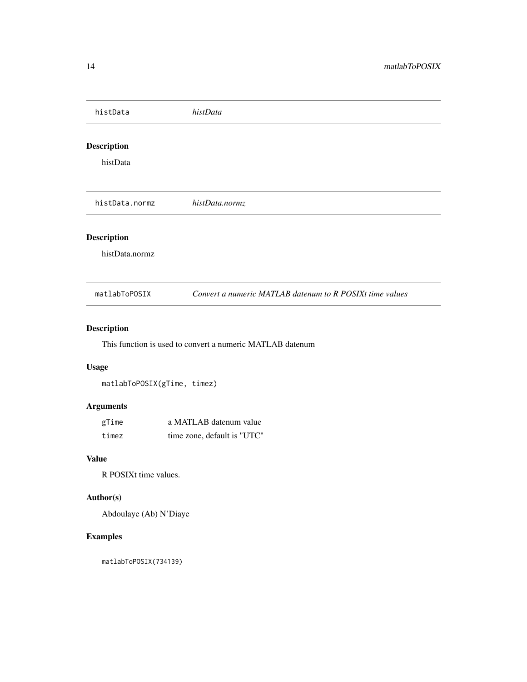<span id="page-13-0"></span>

| histData                             | histData                                                 |
|--------------------------------------|----------------------------------------------------------|
| <b>Description</b>                   |                                                          |
| histData                             |                                                          |
|                                      |                                                          |
| histData.normz                       | histData.normz                                           |
| <b>Description</b><br>histData.normz |                                                          |
| matlabToPOSIX                        | Convert a numeric MATLAB datenum to R POSIXt time values |

# Description

This function is used to convert a numeric MATLAB datenum

# Usage

matlabToPOSIX(gTime, timez)

# Arguments

| gTime | a MATLAB datenum value      |
|-------|-----------------------------|
| timez | time zone, default is "UTC" |

# Value

R POSIXt time values.

# Author(s)

Abdoulaye (Ab) N'Diaye

# Examples

matlabToPOSIX(734139)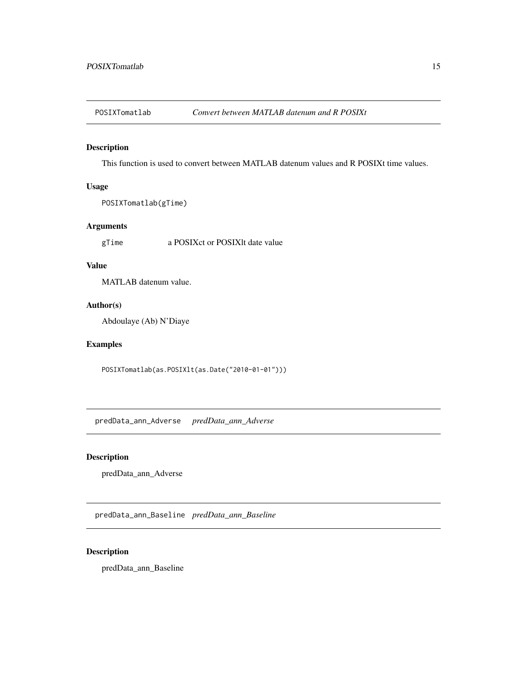<span id="page-14-0"></span>

# Description

This function is used to convert between MATLAB datenum values and R POSIXt time values.

# Usage

```
POSIXTomatlab(gTime)
```
# Arguments

gTime a POSIXct or POSIXlt date value

# Value

MATLAB datenum value.

#### Author(s)

Abdoulaye (Ab) N'Diaye

# Examples

POSIXTomatlab(as.POSIXlt(as.Date("2010-01-01")))

predData\_ann\_Adverse *predData\_ann\_Adverse*

# Description

predData\_ann\_Adverse

predData\_ann\_Baseline *predData\_ann\_Baseline*

# Description

predData\_ann\_Baseline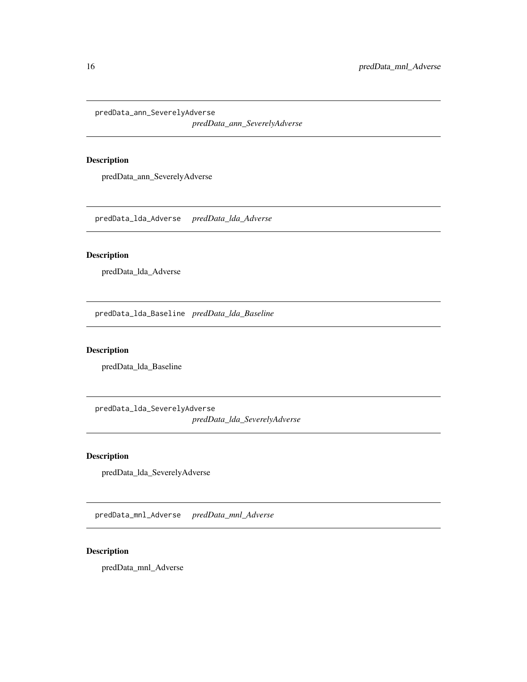<span id="page-15-0"></span>predData\_ann\_SeverelyAdverse

*predData\_ann\_SeverelyAdverse*

# Description

predData\_ann\_SeverelyAdverse

predData\_lda\_Adverse *predData\_lda\_Adverse*

# Description

predData\_lda\_Adverse

predData\_lda\_Baseline *predData\_lda\_Baseline*

# Description

predData\_lda\_Baseline

predData\_lda\_SeverelyAdverse *predData\_lda\_SeverelyAdverse*

#### Description

predData\_lda\_SeverelyAdverse

predData\_mnl\_Adverse *predData\_mnl\_Adverse*

# Description

predData\_mnl\_Adverse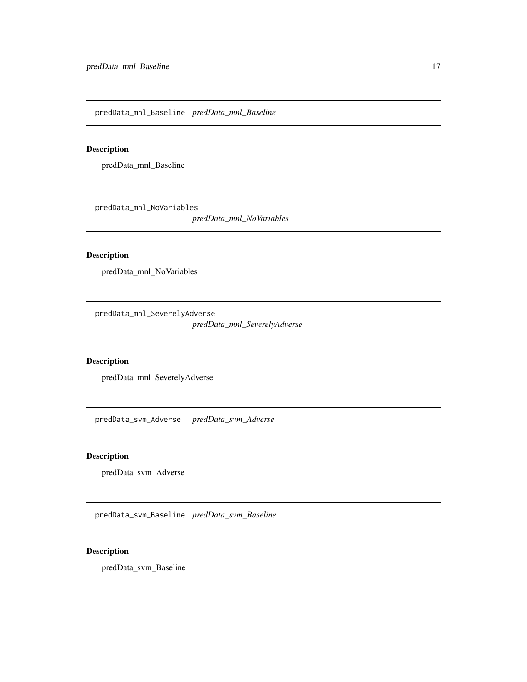<span id="page-16-0"></span>predData\_mnl\_Baseline *predData\_mnl\_Baseline*

# Description

predData\_mnl\_Baseline

predData\_mnl\_NoVariables

*predData\_mnl\_NoVariables*

# Description

predData\_mnl\_NoVariables

predData\_mnl\_SeverelyAdverse *predData\_mnl\_SeverelyAdverse*

#### Description

predData\_mnl\_SeverelyAdverse

predData\_svm\_Adverse *predData\_svm\_Adverse*

#### Description

predData\_svm\_Adverse

predData\_svm\_Baseline *predData\_svm\_Baseline*

# Description

predData\_svm\_Baseline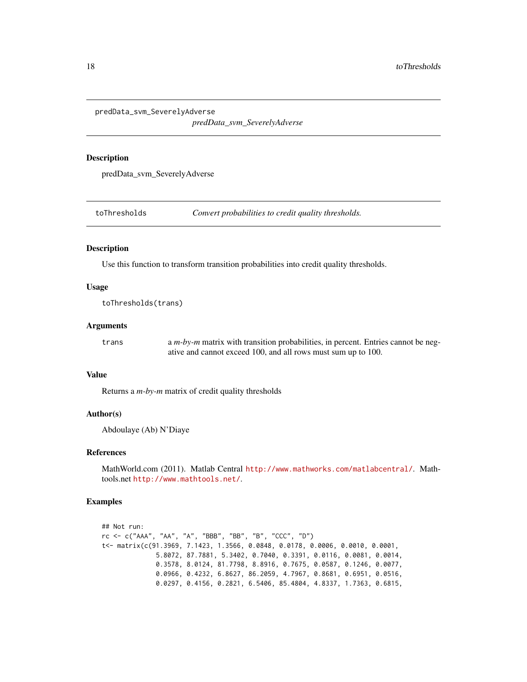<span id="page-17-0"></span>predData\_svm\_SeverelyAdverse

*predData\_svm\_SeverelyAdverse*

#### Description

predData\_svm\_SeverelyAdverse

toThresholds *Convert probabilities to credit quality thresholds.*

#### Description

Use this function to transform transition probabilities into credit quality thresholds.

#### Usage

toThresholds(trans)

# Arguments

trans a *m-by-m* matrix with transition probabilities, in percent. Entries cannot be negative and cannot exceed 100, and all rows must sum up to 100.

#### Value

Returns a *m-by-m* matrix of credit quality thresholds

#### Author(s)

Abdoulaye (Ab) N'Diaye

#### References

MathWorld.com (2011). Matlab Central <http://www.mathworks.com/matlabcentral/>. Mathtools.net <http://www.mathtools.net/>.

#### Examples

```
## Not run:
rc <- c("AAA", "AA", "A", "BBB", "BB", "B", "CCC", "D")
t<- matrix(c(91.3969, 7.1423, 1.3566, 0.0848, 0.0178, 0.0006, 0.0010, 0.0001,
              5.8072, 87.7881, 5.3402, 0.7040, 0.3391, 0.0116, 0.0081, 0.0014,
              0.3578, 8.0124, 81.7798, 8.8916, 0.7675, 0.0587, 0.1246, 0.0077,
              0.0966, 0.4232, 6.8627, 86.2059, 4.7967, 0.8681, 0.6951, 0.0516,
             0.0297, 0.4156, 0.2821, 6.5406, 85.4804, 4.8337, 1.7363, 0.6815,
```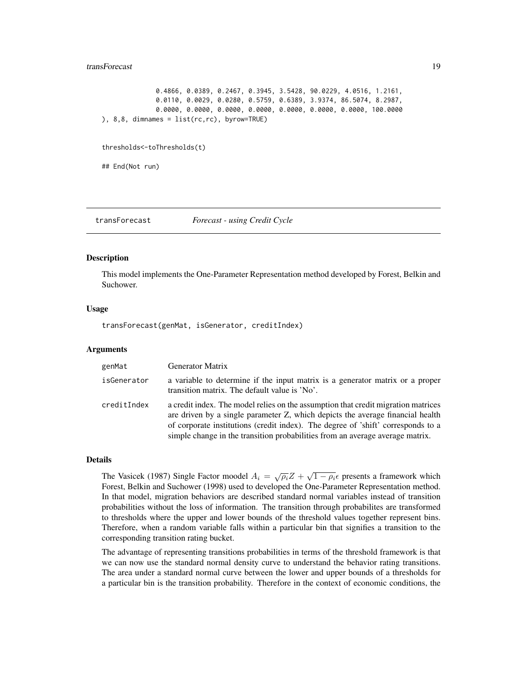#### <span id="page-18-0"></span>transForecast 19

```
0.4866, 0.0389, 0.2467, 0.3945, 3.5428, 90.0229, 4.0516, 1.2161,
              0.0110, 0.0029, 0.0280, 0.5759, 0.6389, 3.9374, 86.5074, 8.2987,
              0.0000, 0.0000, 0.0000, 0.0000, 0.0000, 0.0000, 0.0000, 100.0000
), 8,8, dimnames = list(rc,rc), byrow=TRUE)
thresholds<-toThresholds(t)
```
## End(Not run)

transForecast *Forecast - using Credit Cycle*

#### **Description**

This model implements the One-Parameter Representation method developed by Forest, Belkin and Suchower.

#### Usage

transForecast(genMat, isGenerator, creditIndex)

#### Arguments

| genMat      | <b>Generator Matrix</b>                                                                                                                                                                                                                                                                                                                  |
|-------------|------------------------------------------------------------------------------------------------------------------------------------------------------------------------------------------------------------------------------------------------------------------------------------------------------------------------------------------|
| isGenerator | a variable to determine if the input matrix is a generator matrix or a proper<br>transition matrix. The default value is 'No'.                                                                                                                                                                                                           |
| creditIndex | a credit index. The model relies on the assumption that credit migration matrices<br>are driven by a single parameter Z, which depicts the average financial health<br>of corporate institutions (credit index). The degree of 'shift' corresponds to a<br>simple change in the transition probabilities from an average average matrix. |

### Details

The Vasicek (1987) Single Factor moodel  $A_i = \sqrt{\rho_i}Z + \sqrt{1 - \rho_i} \epsilon$  presents a framework which Forest, Belkin and Suchower (1998) used to developed the One-Parameter Representation method. In that model, migration behaviors are described standard normal variables instead of transition probabilities without the loss of information. The transition through probabilites are transformed to thresholds where the upper and lower bounds of the threshold values together represent bins. Therefore, when a random variable falls within a particular bin that signifies a transition to the corresponding transition rating bucket.

The advantage of representing transitions probabilities in terms of the threshold framework is that we can now use the standard normal density curve to understand the behavior rating transitions. The area under a standard normal curve between the lower and upper bounds of a thresholds for a particular bin is the transition probability. Therefore in the context of economic conditions, the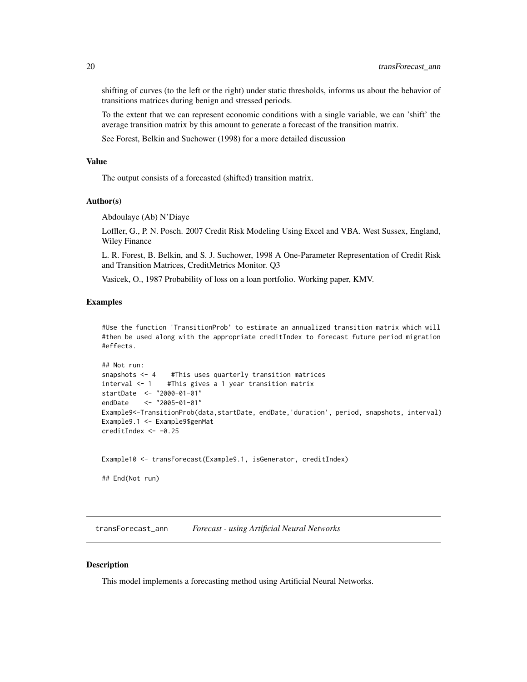<span id="page-19-0"></span>shifting of curves (to the left or the right) under static thresholds, informs us about the behavior of transitions matrices during benign and stressed periods.

To the extent that we can represent economic conditions with a single variable, we can 'shift' the average transition matrix by this amount to generate a forecast of the transition matrix.

See Forest, Belkin and Suchower (1998) for a more detailed discussion

#### Value

The output consists of a forecasted (shifted) transition matrix.

#### Author(s)

Abdoulaye (Ab) N'Diaye

Loffler, G., P. N. Posch. 2007 Credit Risk Modeling Using Excel and VBA. West Sussex, England, Wiley Finance

L. R. Forest, B. Belkin, and S. J. Suchower, 1998 A One-Parameter Representation of Credit Risk and Transition Matrices, CreditMetrics Monitor. Q3

Vasicek, O., 1987 Probability of loss on a loan portfolio. Working paper, KMV.

#### Examples

#Use the function 'TransitionProb' to estimate an annualized transition matrix which will #then be used along with the appropriate creditIndex to forecast future period migration #effects.

```
## Not run:
snapshots <- 4 #This uses quarterly transition matrices
interval <- 1 #This gives a 1 year transition matrix
startDate <- "2000-01-01"
endDate <- "2005-01-01"
Example9<-TransitionProb(data,startDate, endDate,'duration', period, snapshots, interval)
Example9.1 <- Example9$genMat
creditIndex <- -0.25
```

```
Example10 <- transForecast(Example9.1, isGenerator, creditIndex)
```
## End(Not run)

transForecast\_ann *Forecast - using Artificial Neural Networks*

#### **Description**

This model implements a forecasting method using Artificial Neural Networks.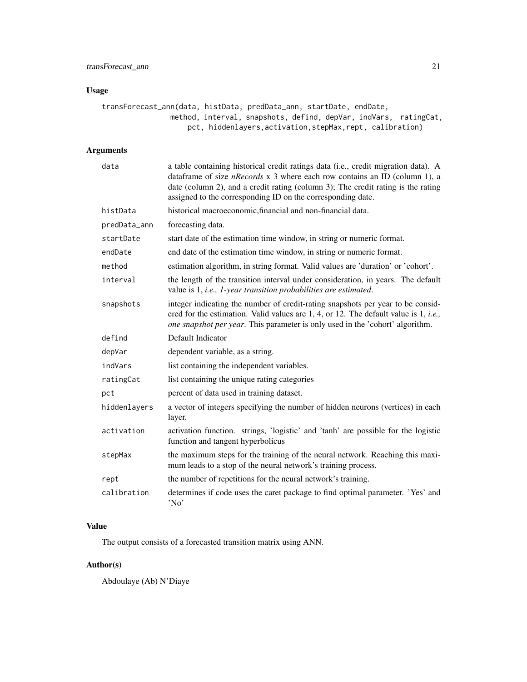# Usage

```
transForecast_ann(data, histData, predData_ann, startDate, endDate,
               method, interval, snapshots, defind, depVar, indVars, ratingCat,
                    pct, hiddenlayers,activation,stepMax,rept, calibration)
```
# Arguments

| data         | a table containing historical credit ratings data (i.e., credit migration data). A<br>dataframe of size nRecords x 3 where each row contains an ID (column 1), a<br>date (column 2), and a credit rating (column 3); The credit rating is the rating<br>assigned to the corresponding ID on the corresponding date. |
|--------------|---------------------------------------------------------------------------------------------------------------------------------------------------------------------------------------------------------------------------------------------------------------------------------------------------------------------|
| histData     | historical macroeconomic, financial and non-financial data.                                                                                                                                                                                                                                                         |
| predData_ann | forecasting data.                                                                                                                                                                                                                                                                                                   |
| startDate    | start date of the estimation time window, in string or numeric format.                                                                                                                                                                                                                                              |
| endDate      | end date of the estimation time window, in string or numeric format.                                                                                                                                                                                                                                                |
| method       | estimation algorithm, in string format. Valid values are 'duration' or 'cohort'.                                                                                                                                                                                                                                    |
| interval     | the length of the transition interval under consideration, in years. The default<br>value is 1, <i>i.e.</i> , <i>1-year transition probabilities are estimated.</i>                                                                                                                                                 |
| snapshots    | integer indicating the number of credit-rating snapshots per year to be consid-<br>ered for the estimation. Valid values are 1, 4, or 12. The default value is 1, <i>i.e.</i> ,<br>one snapshot per year. This parameter is only used in the 'cohort' algorithm.                                                    |
| defind       | Default Indicator                                                                                                                                                                                                                                                                                                   |
| depVar       | dependent variable, as a string.                                                                                                                                                                                                                                                                                    |
| indVars      | list containing the independent variables.                                                                                                                                                                                                                                                                          |
| ratingCat    | list containing the unique rating categories                                                                                                                                                                                                                                                                        |
| pct          | percent of data used in training dataset.                                                                                                                                                                                                                                                                           |
| hiddenlayers | a vector of integers specifying the number of hidden neurons (vertices) in each<br>layer.                                                                                                                                                                                                                           |
| activation   | activation function. strings, 'logistic' and 'tanh' are possible for the logistic<br>function and tangent hyperbolicus                                                                                                                                                                                              |
| stepMax      | the maximum steps for the training of the neural network. Reaching this maxi-<br>mum leads to a stop of the neural network's training process.                                                                                                                                                                      |
| rept         | the number of repetitions for the neural network's training.                                                                                                                                                                                                                                                        |
| calibration  | determines if code uses the caret package to find optimal parameter. 'Yes' and<br>'No'                                                                                                                                                                                                                              |

# Value

The output consists of a forecasted transition matrix using ANN.

# Author(s)

Abdoulaye (Ab) N'Diaye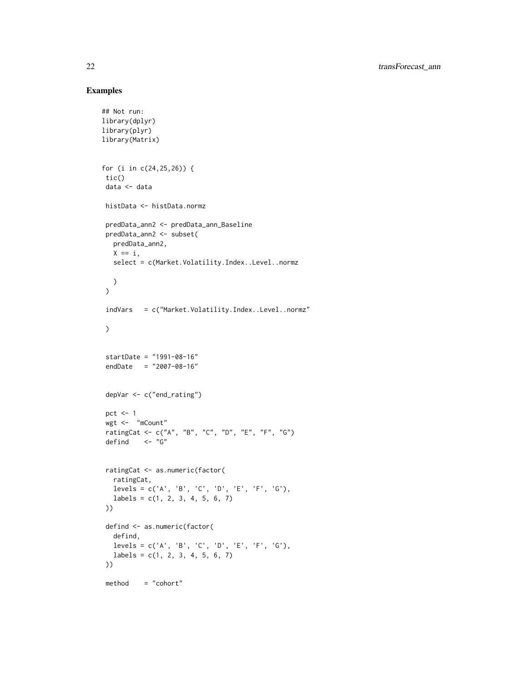# Examples

```
## Not run:
library(dplyr)
library(plyr)
library(Matrix)
for (i in c(24,25,26)) {
 tic()
 data <- data
 histData <- histData.normz
 predData_ann2 <- predData_ann_Baseline
 predData_ann2 <- subset(
   predData_ann2,
  X == i,
  select = c(Market.Volatility.Index..Level..normz
   )
 )
 indVars = c("Market.Volatility.Index..Level..normz"
 \lambdastartDate = "1991-08-16"
 endDate = "2007-08-16"
 depVar <- c("end_rating")
 pct <-1wgt <- "mCount"
 ratingCat <- c("A", "B", "C", "D", "E", "F", "G")
 defind <- "G"
 ratingCat <- as.numeric(factor(
  ratingCat,
  levels = c('A', 'B', 'C', 'D', 'E', 'F', 'G'),labels = c(1, 2, 3, 4, 5, 6, 7)))
 defind <- as.numeric(factor(
   defind,
   levels = c('A', 'B', 'C', 'D', 'E', 'F', 'G'),
   labels = c(1, 2, 3, 4, 5, 6, 7)))
 method = "cohort"
```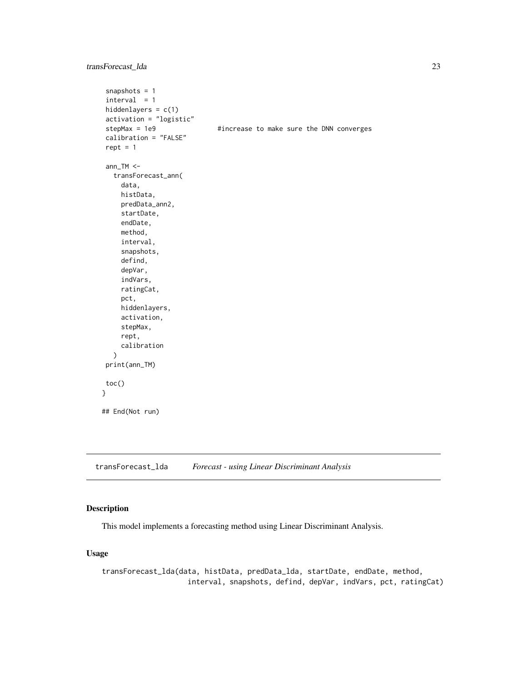# <span id="page-22-0"></span>transForecast\_lda 23

```
snapshots = 1
interval = 1hiddenlayers = c(1)
activation = "logistic"
stepMax = 1e9 \#increase to make sure the DNN converges
calibration = "FALSE"
rept = 1ann_TM <-
  transForecast_ann(
    data,
    histData,
    predData_ann2,
    startDate,
    endDate,
    method,
    interval,
    snapshots,
    defind,
    depVar,
    indVars,
    ratingCat,
    pct,
    hiddenlayers,
    activation,
    stepMax,
    rept,
    calibration
  )
print(ann_TM)
toc()
}
## End(Not run)
```
transForecast\_lda *Forecast - using Linear Discriminant Analysis*

#### Description

This model implements a forecasting method using Linear Discriminant Analysis.

# Usage

transForecast\_lda(data, histData, predData\_lda, startDate, endDate, method, interval, snapshots, defind, depVar, indVars, pct, ratingCat)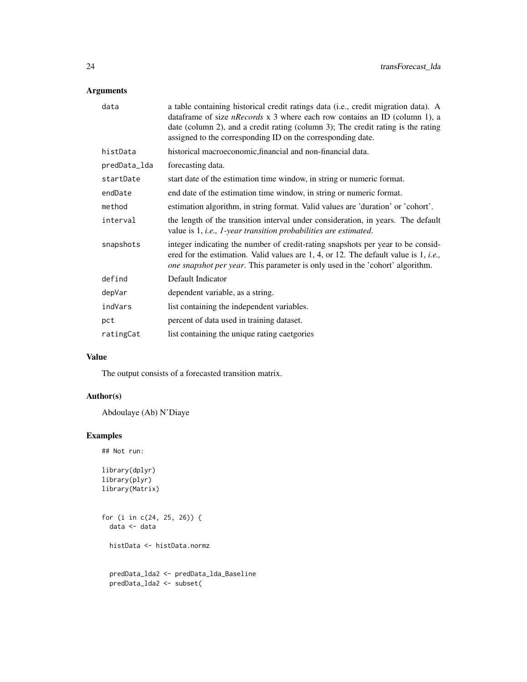# Arguments

| data         | a table containing historical credit ratings data (i.e., credit migration data). A<br>data frame of size <i>nRecords</i> $x$ 3 where each row contains an ID (column 1), a<br>date (column 2), and a credit rating (column 3); The credit rating is the rating<br>assigned to the corresponding ID on the corresponding date. |
|--------------|-------------------------------------------------------------------------------------------------------------------------------------------------------------------------------------------------------------------------------------------------------------------------------------------------------------------------------|
| histData     | historical macroeconomic, financial and non-financial data.                                                                                                                                                                                                                                                                   |
| predData_lda | forecasting data.                                                                                                                                                                                                                                                                                                             |
| startDate    | start date of the estimation time window, in string or numeric format.                                                                                                                                                                                                                                                        |
| endDate      | end date of the estimation time window, in string or numeric format.                                                                                                                                                                                                                                                          |
| method       | estimation algorithm, in string format. Valid values are 'duration' or 'cohort'.                                                                                                                                                                                                                                              |
| interval     | the length of the transition interval under consideration, in years. The default<br>value is 1, <i>i.e.</i> , <i>1-year transition probabilities are estimated.</i>                                                                                                                                                           |
| snapshots    | integer indicating the number of credit-rating snapshots per year to be consid-<br>ered for the estimation. Valid values are 1, 4, or 12. The default value is 1, <i>i.e.</i> ,<br>one snapshot per year. This parameter is only used in the 'cohort' algorithm.                                                              |
| defind       | Default Indicator                                                                                                                                                                                                                                                                                                             |
| depVar       | dependent variable, as a string.                                                                                                                                                                                                                                                                                              |
| indVars      | list containing the independent variables.                                                                                                                                                                                                                                                                                    |
| pct          | percent of data used in training dataset.                                                                                                                                                                                                                                                                                     |
| ratingCat    | list containing the unique rating caetgories                                                                                                                                                                                                                                                                                  |
|              |                                                                                                                                                                                                                                                                                                                               |

# Value

The output consists of a forecasted transition matrix.

# Author(s)

Abdoulaye (Ab) N'Diaye

# Examples

## Not run:

library(dplyr) library(plyr) library(Matrix)

for (i in c(24, 25, 26)) {  $data < - data$ histData <- histData.normz

predData\_lda2 <- predData\_lda\_Baseline predData\_lda2 <- subset(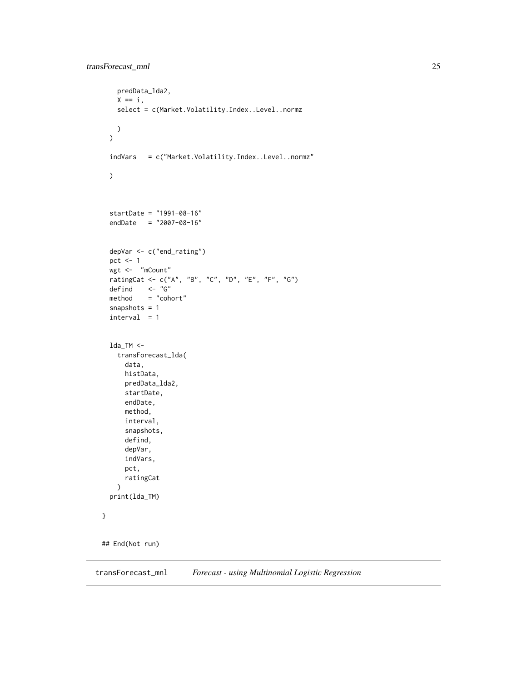```
predData_lda2,
   X == i,select = c(Market.Volatility.Index..Level..normz
   )
  \overline{)}indVars = c("Market.Volatility.Index..Level..normz"
  \mathcal{L}startDate = "1991-08-16"
  endDate = "2007-08-16"
  depVar <- c("end_rating")
  pct <-1wgt <- "mCount"
  ratingCat <- c("A", "B", "C", "D", "E", "F", "G")
  defind <- "G"
  method = "cohort"snapshots = 1
  interval = 1lda_TM <-
   transForecast_lda(
      data,
     histData,
      predData_lda2,
      startDate,
      endDate,
     method,
      interval,
      snapshots,
      defind,
      depVar,
      indVars,
      pct,
     ratingCat
   )
  print(lda_TM)
}
## End(Not run)
```
transForecast\_mnl *Forecast - using Multinomial Logistic Regression*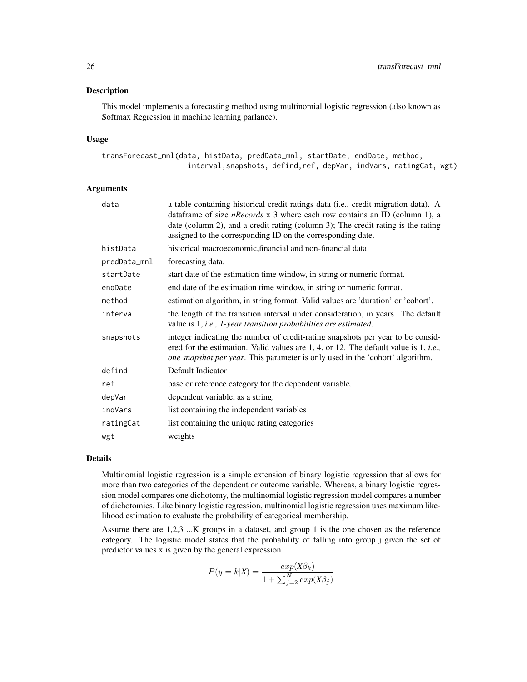#### Description

This model implements a forecasting method using multinomial logistic regression (also known as Softmax Regression in machine learning parlance).

#### Usage

```
transForecast_mnl(data, histData, predData_mnl, startDate, endDate, method,
                    interval,snapshots, defind,ref, depVar, indVars, ratingCat, wgt)
```
#### Arguments

| data         | a table containing historical credit ratings data (i.e., credit migration data). A<br>data frame of size <i>nRecords</i> $x$ 3 where each row contains an ID (column 1), a<br>date (column 2), and a credit rating (column 3); The credit rating is the rating<br>assigned to the corresponding ID on the corresponding date. |
|--------------|-------------------------------------------------------------------------------------------------------------------------------------------------------------------------------------------------------------------------------------------------------------------------------------------------------------------------------|
| histData     | historical macroeconomic, financial and non-financial data.                                                                                                                                                                                                                                                                   |
| predData_mnl | forecasting data.                                                                                                                                                                                                                                                                                                             |
| startDate    | start date of the estimation time window, in string or numeric format.                                                                                                                                                                                                                                                        |
| endDate      | end date of the estimation time window, in string or numeric format.                                                                                                                                                                                                                                                          |
| method       | estimation algorithm, in string format. Valid values are 'duration' or 'cohort'.                                                                                                                                                                                                                                              |
| interval     | the length of the transition interval under consideration, in years. The default<br>value is 1, i.e., 1-year transition probabilities are estimated.                                                                                                                                                                          |
| snapshots    | integer indicating the number of credit-rating snapshots per year to be consid-<br>ered for the estimation. Valid values are 1, 4, or 12. The default value is 1, <i>i.e.</i> ,<br><i>one snapshot per year.</i> This parameter is only used in the 'cohort' algorithm.                                                       |
| defind       | Default Indicator                                                                                                                                                                                                                                                                                                             |
| ref          | base or reference category for the dependent variable.                                                                                                                                                                                                                                                                        |
| depVar       | dependent variable, as a string.                                                                                                                                                                                                                                                                                              |
| indVars      | list containing the independent variables                                                                                                                                                                                                                                                                                     |
| ratingCat    | list containing the unique rating categories                                                                                                                                                                                                                                                                                  |
| wgt          | weights                                                                                                                                                                                                                                                                                                                       |

#### Details

Multinomial logistic regression is a simple extension of binary logistic regression that allows for more than two categories of the dependent or outcome variable. Whereas, a binary logistic regression model compares one dichotomy, the multinomial logistic regression model compares a number of dichotomies. Like binary logistic regression, multinomial logistic regression uses maximum likelihood estimation to evaluate the probability of categorical membership.

Assume there are 1,2,3 ...K groups in a dataset, and group 1 is the one chosen as the reference category. The logistic model states that the probability of falling into group j given the set of predictor values x is given by the general expression

$$
P(y = k|X) = \frac{exp(X\beta_k)}{1 + \sum_{j=2}^{N} exp(X\beta_j)}
$$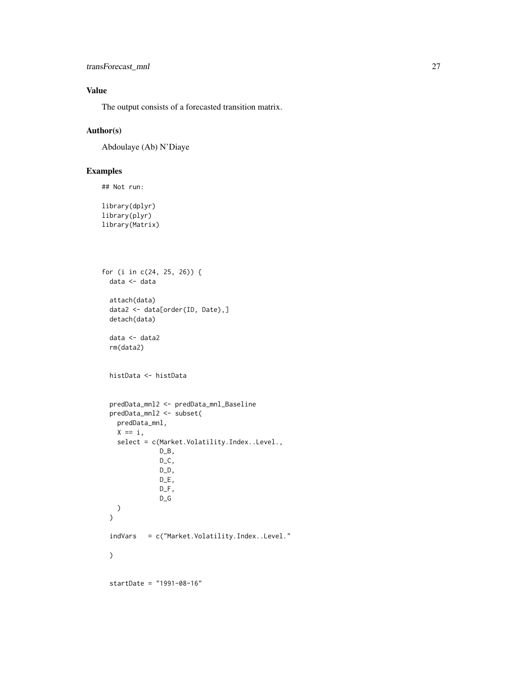transForecast\_mnl 27

# Value

The output consists of a forecasted transition matrix.

# Author(s)

Abdoulaye (Ab) N'Diaye

# Examples

```
## Not run:
```

```
library(dplyr)
library(plyr)
library(Matrix)
```

```
for (i in c(24, 25, 26)) {
  data <- data
  attach(data)
  data2 <- data[order(ID, Date),]
  detach(data)
  data <- data2
  rm(data2)
  histData <- histData
  predData_mnl2 <- predData_mnl_Baseline
  predData_mnl2 <- subset(
   predData_mnl,
   X == i,
   select = c(Market.Volatility.Index..Level.,
               D_B,
               D_C,
               D_D,
               DE,
               D_F,
               D_G
   )
  \lambdaindVars = c("Market.Volatility.Index..Level."
  )
  startDate = "1991-08-16"
```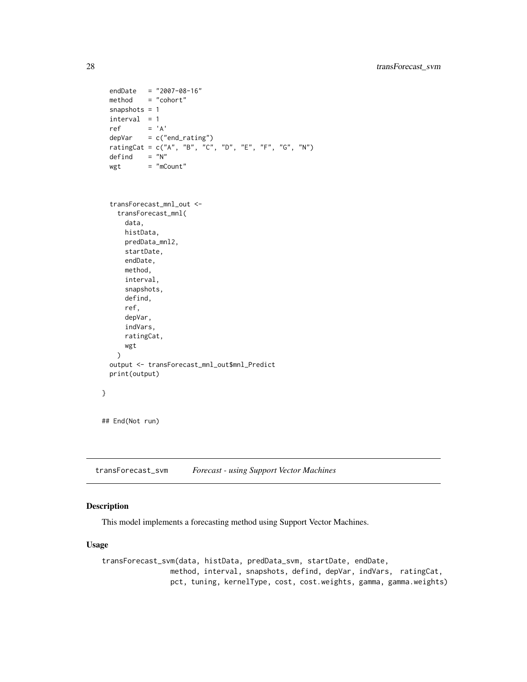```
endDate = "2007-08-16"
 method = "cohort"
 snapshots = 1
 interval = 1ref = 'A'depVar = c("end\_rating")ratingCat = c("A", "B", "C", "D", "E", "F", "G", "N")
 defind = "N"wgt = "mCount"transForecast_mnl_out <-
   transForecast_mnl(
     data,
     histData,
     predData_mnl2,
     startDate,
     endDate,
     method,
     interval,
     snapshots,
     defind,
     ref,
     depVar,
     indVars,
     ratingCat,
     wgt
   )
 output <- transForecast_mnl_out$mnl_Predict
 print(output)
}
## End(Not run)
```
transForecast\_svm *Forecast - using Support Vector Machines*

# Description

This model implements a forecasting method using Support Vector Machines.

# Usage

```
transForecast_svm(data, histData, predData_svm, startDate, endDate,
               method, interval, snapshots, defind, depVar, indVars, ratingCat,
                pct, tuning, kernelType, cost, cost.weights, gamma, gamma.weights)
```
<span id="page-27-0"></span>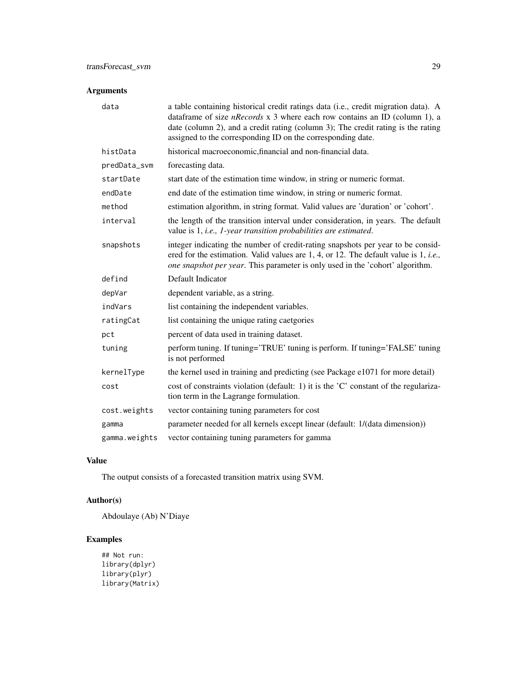# Arguments

| data         | a table containing historical credit ratings data (i.e., credit migration data). A<br>dataframe of size <i>nRecords</i> $x$ 3 where each row contains an ID (column 1), a<br>date (column 2), and a credit rating (column 3); The credit rating is the rating<br>assigned to the corresponding ID on the corresponding date. |
|--------------|------------------------------------------------------------------------------------------------------------------------------------------------------------------------------------------------------------------------------------------------------------------------------------------------------------------------------|
| histData     | historical macroeconomic, financial and non-financial data.                                                                                                                                                                                                                                                                  |
| predData_svm | forecasting data.                                                                                                                                                                                                                                                                                                            |
| startDate    | start date of the estimation time window, in string or numeric format.                                                                                                                                                                                                                                                       |
| endDate      | end date of the estimation time window, in string or numeric format.                                                                                                                                                                                                                                                         |
| method       | estimation algorithm, in string format. Valid values are 'duration' or 'cohort'.                                                                                                                                                                                                                                             |
| interval     | the length of the transition interval under consideration, in years. The default<br>value is 1, i.e., 1-year transition probabilities are estimated.                                                                                                                                                                         |
| snapshots    | integer indicating the number of credit-rating snapshots per year to be consid-<br>ered for the estimation. Valid values are 1, 4, or 12. The default value is 1, <i>i.e.</i> ,<br>one snapshot per year. This parameter is only used in the 'cohort' algorithm.                                                             |
| defind       | Default Indicator                                                                                                                                                                                                                                                                                                            |
| depVar       | dependent variable, as a string.                                                                                                                                                                                                                                                                                             |
| indVars      | list containing the independent variables.                                                                                                                                                                                                                                                                                   |
| ratingCat    | list containing the unique rating caetgories                                                                                                                                                                                                                                                                                 |
| pct          | percent of data used in training dataset.                                                                                                                                                                                                                                                                                    |
| tuning       | perform tuning. If tuning='TRUE' tuning is perform. If tuning='FALSE' tuning<br>is not performed                                                                                                                                                                                                                             |
| kernelType   |                                                                                                                                                                                                                                                                                                                              |
|              | the kernel used in training and predicting (see Package e1071 for more detail)                                                                                                                                                                                                                                               |
| cost         | cost of constraints violation (default: 1) it is the 'C' constant of the regulariza-<br>tion term in the Lagrange formulation.                                                                                                                                                                                               |
| cost.weights | vector containing tuning parameters for cost                                                                                                                                                                                                                                                                                 |
| gamma        | parameter needed for all kernels except linear (default: 1/(data dimension))                                                                                                                                                                                                                                                 |

# Value

The output consists of a forecasted transition matrix using SVM.

# Author(s)

Abdoulaye (Ab) N'Diaye

# Examples

## Not run: library(dplyr) library(plyr) library(Matrix)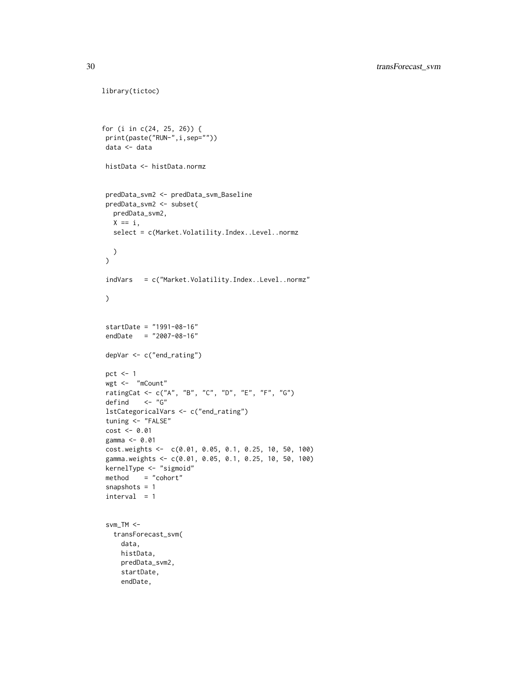```
for (i in c(24, 25, 26)) {
print(paste("RUN-",i,sep=""))
data <- data
histData <- histData.normz
predData_svm2 <- predData_svm_Baseline
predData_svm2 <- subset(
  predData_svm2,
  X == i,
  select = c(Market.Volatility.Index..Level..normz
 )
\lambdaindVars = c("Market.Volatility.Index..Level..normz"
\mathcal{L}startDate = "1991-08-16"
endDate = "2007-08-16"
depVar <- c("end_rating")
pct <-1wgt <- "mCount"
ratingCat <- c("A", "B", "C", "D", "E", "F", "G")
defind <- "G"
lstCategoricalVars <- c("end_rating")
tuning <- "FALSE"
cost < -0.01gamma <- 0.01
cost.weights <- c(0.01, 0.05, 0.1, 0.25, 10, 50, 100)
gamma.weights <- c(0.01, 0.05, 0.1, 0.25, 10, 50, 100)
kernelType <- "sigmoid"
method = "cohort"
snapshots = 1
interval = 1svm_TM <-
  transForecast_svm(
    data,
    histData,
    predData_svm2,
    startDate,
    endDate,
```
library(tictoc)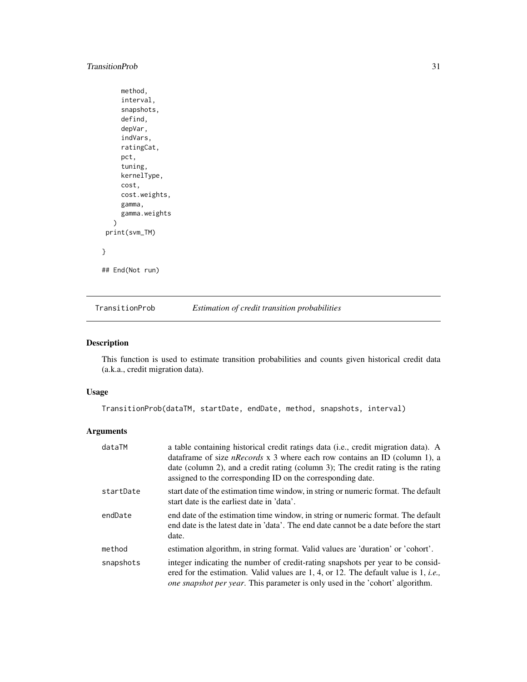# <span id="page-30-0"></span>TransitionProb 31

```
method,
    interval,
    snapshots,
    defind,
    depVar,
    indVars,
    ratingCat,
    pct,
    tuning,
    kernelType,
    cost,
    cost.weights,
    gamma,
    gamma.weights
  )
print(svm_TM)
```
}

## End(Not run)

TransitionProb *Estimation of credit transition probabilities*

# Description

This function is used to estimate transition probabilities and counts given historical credit data (a.k.a., credit migration data).

#### Usage

TransitionProb(dataTM, startDate, endDate, method, snapshots, interval)

# Arguments

| dataTM    | a table containing historical credit ratings data (i.e., credit migration data). A<br>data frame of size <i>nRecords</i> $x$ 3 where each row contains an ID (column 1), a<br>date (column 2), and a credit rating (column 3); The credit rating is the rating<br>assigned to the corresponding ID on the corresponding date. |
|-----------|-------------------------------------------------------------------------------------------------------------------------------------------------------------------------------------------------------------------------------------------------------------------------------------------------------------------------------|
| startDate | start date of the estimation time window, in string or numeric format. The default<br>start date is the earliest date in 'data'.                                                                                                                                                                                              |
| endDate   | end date of the estimation time window, in string or numeric format. The default<br>end date is the latest date in 'data'. The end date cannot be a date before the start<br>date.                                                                                                                                            |
| method    | estimation algorithm, in string format. Valid values are 'duration' or 'cohort'.                                                                                                                                                                                                                                              |
| snapshots | integer indicating the number of credit-rating snapshots per year to be consid-<br>ered for the estimation. Valid values are 1, 4, or 12. The default value is 1, <i>i.e.</i> ,<br><i>one snapshot per year.</i> This parameter is only used in the 'cohort' algorithm.                                                       |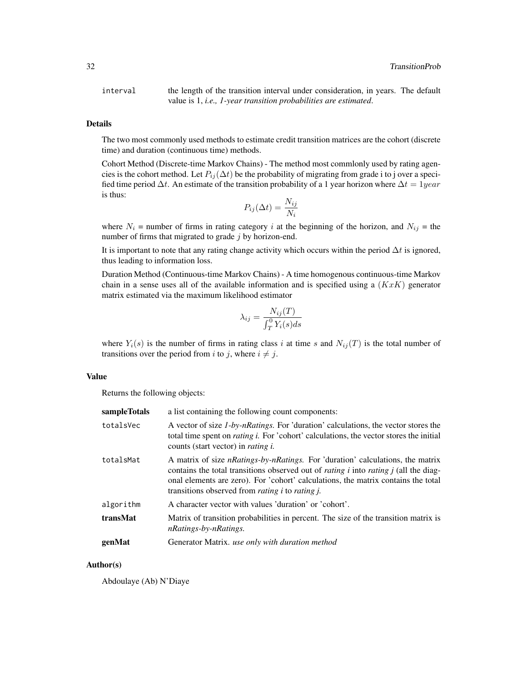interval the length of the transition interval under consideration, in years. The default value is 1, *i.e., 1-year transition probabilities are estimated*.

#### Details

The two most commonly used methods to estimate credit transition matrices are the cohort (discrete time) and duration (continuous time) methods.

Cohort Method (Discrete-time Markov Chains) - The method most commlonly used by rating agencies is the cohort method. Let  $P_{ij}(\Delta t)$  be the probability of migrating from grade i to j over a specified time period  $\Delta t$ . An estimate of the transition probability of a 1 year horizon where  $\Delta t = 1$ year is thus:

$$
P_{ij}(\Delta t) = \frac{N_{ij}}{N_i}
$$

where  $N_i$  = number of firms in rating category i at the beginning of the horizon, and  $N_{ij}$  = the number of firms that migrated to grade  $j$  by horizon-end.

It is important to note that any rating change activity which occurs within the period  $\Delta t$  is ignored, thus leading to information loss.

Duration Method (Continuous-time Markov Chains) - A time homogenous continuous-time Markov chain in a sense uses all of the available information and is specified using a  $(KxK)$  generator matrix estimated via the maximum likelihood estimator

$$
\lambda_{ij} = \frac{N_{ij}(T)}{\int_T^0 Y_i(s)ds}
$$

where  $Y_i(s)$  is the number of firms in rating class i at time s and  $N_{ij}(T)$  is the total number of transitions over the period from i to j, where  $i \neq j$ .

#### Value

Returns the following objects:

| sampleTotals | a list containing the following count components:                                                                                                                                                                                                                                                                                                   |
|--------------|-----------------------------------------------------------------------------------------------------------------------------------------------------------------------------------------------------------------------------------------------------------------------------------------------------------------------------------------------------|
| totalsVec    | A vector of size <i>1-by-nRatings</i> . For 'duration' calculations, the vector stores the<br>total time spent on <i>rating i</i> . For 'cohort' calculations, the vector stores the initial<br>counts (start vector) in <i>rating i.</i>                                                                                                           |
| totalsMat    | A matrix of size <i>nRatings-by-nRatings</i> . For 'duration' calculations, the matrix<br>contains the total transitions observed out of <i>rating i</i> into <i>rating j</i> (all the diag-<br>onal elements are zero). For 'cohort' calculations, the matrix contains the total<br>transitions observed from <i>rating i</i> to <i>rating j</i> . |
| algorithm    | A character vector with values 'duration' or 'cohort'.                                                                                                                                                                                                                                                                                              |
| transMat     | Matrix of transition probabilities in percent. The size of the transition matrix is<br>nRatings-by-nRatings.                                                                                                                                                                                                                                        |
| genMat       | Generator Matrix. use only with duration method                                                                                                                                                                                                                                                                                                     |

#### Author(s)

Abdoulaye (Ab) N'Diaye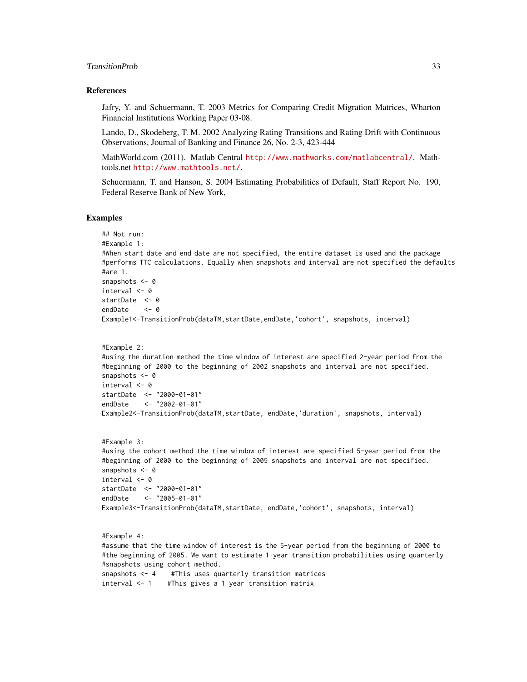#### TransitionProb 33

#### References

Jafry, Y. and Schuermann, T. 2003 Metrics for Comparing Credit Migration Matrices, Wharton Financial Institutions Working Paper 03-08.

Lando, D., Skodeberg, T. M. 2002 Analyzing Rating Transitions and Rating Drift with Continuous Observations, Journal of Banking and Finance 26, No. 2-3, 423-444

MathWorld.com (2011). Matlab Central <http://www.mathworks.com/matlabcentral/>. Mathtools.net <http://www.mathtools.net/>.

Schuermann, T. and Hanson, S. 2004 Estimating Probabilities of Default, Staff Report No. 190, Federal Reserve Bank of New York,

#### Examples

```
## Not run:
#Example 1:
#When start date and end date are not specified, the entire dataset is used and the package
#performs TTC calculations. Equally when snapshots and interval are not specified the defaults
#are 1.
snapshots <- 0
interval <- 0
startDate <- 0
endDate <- 0
Example1<-TransitionProb(dataTM,startDate,endDate,'cohort', snapshots, interval)
#Example 2:
#using the duration method the time window of interest are specified 2-year period from the
#beginning of 2000 to the beginning of 2002 snapshots and interval are not specified.
snapshots <-0interval <- 0
startDate <- "2000-01-01"
endDate <- "2002-01-01"
Example2<-TransitionProb(dataTM,startDate, endDate,'duration', snapshots, interval)
#Example 3:
#using the cohort method the time window of interest are specified 5-year period from the
#beginning of 2000 to the beginning of 2005 snapshots and interval are not specified.
snapshots <- 0
interval <- 0
startDate <- "2000-01-01"
endDate <- "2005-01-01"
Example3<-TransitionProb(dataTM,startDate, endDate,'cohort', snapshots, interval)
#Example 4:
#assume that the time window of interest is the 5-year period from the beginning of 2000 to
```
#the beginning of 2005. We want to estimate 1-year transition probabilities using quarterly #snapshots using cohort method. snapshots <- 4 #This uses quarterly transition matrices interval <- 1 #This gives a 1 year transition matrix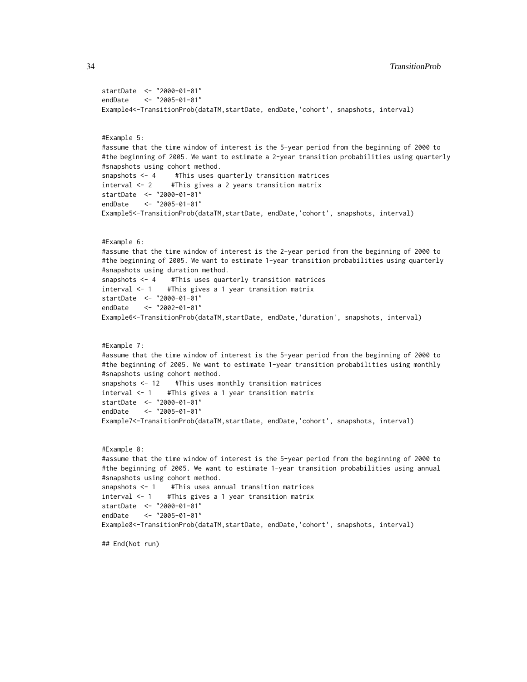```
startDate <- "2000-01-01"
endDate <- "2005-01-01"
Example4<-TransitionProb(dataTM,startDate, endDate,'cohort', snapshots, interval)
#Example 5:
#assume that the time window of interest is the 5-year period from the beginning of 2000 to
#the beginning of 2005. We want to estimate a 2-year transition probabilities using quarterly
#snapshots using cohort method.
snapshots <- 4 #This uses quarterly transition matrices
interval <- 2 #This gives a 2 years transition matrix
startDate <- "2000-01-01"
endDate <- "2005-01-01"
Example5<-TransitionProb(dataTM,startDate, endDate,'cohort', snapshots, interval)
#Example 6:
#assume that the time window of interest is the 2-year period from the beginning of 2000 to
#the beginning of 2005. We want to estimate 1-year transition probabilities using quarterly
#snapshots using duration method.
snapshots <- 4 #This uses quarterly transition matrices
interval <- 1 #This gives a 1 year transition matrix
startDate <- "2000-01-01"
endDate <- "2002-01-01"
Example6<-TransitionProb(dataTM,startDate, endDate,'duration', snapshots, interval)
#Example 7:
#assume that the time window of interest is the 5-year period from the beginning of 2000 to
#the beginning of 2005. We want to estimate 1-year transition probabilities using monthly
#snapshots using cohort method.
snapshots <- 12 #This uses monthly transition matrices
interval <- 1 #This gives a 1 year transition matrix
startDate <- "2000-01-01"
endDate <- "2005-01-01"
Example7<-TransitionProb(dataTM,startDate, endDate,'cohort', snapshots, interval)
#Example 8:
#assume that the time window of interest is the 5-year period from the beginning of 2000 to
#the beginning of 2005. We want to estimate 1-year transition probabilities using annual
#snapshots using cohort method.
snapshots <- 1 #This uses annual transition matrices
interval <- 1 #This gives a 1 year transition matrix
startDate <- "2000-01-01"
endDate <- "2005-01-01"
Example8<-TransitionProb(dataTM,startDate, endDate,'cohort', snapshots, interval)
```
## End(Not run)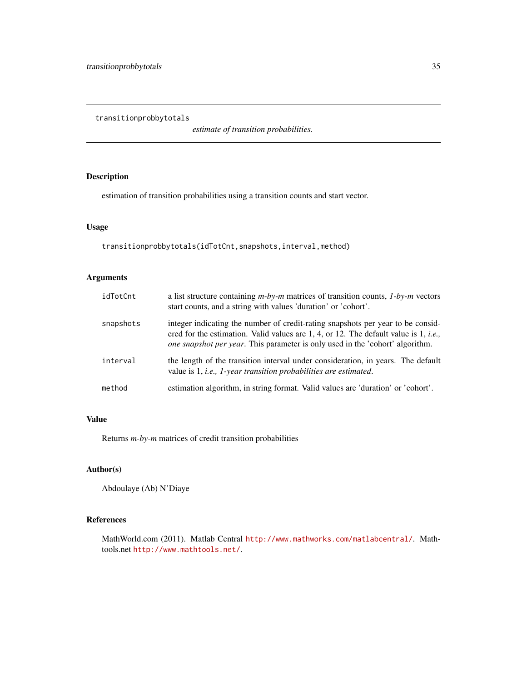<span id="page-34-0"></span>transitionprobbytotals

*estimate of transition probabilities.*

# Description

estimation of transition probabilities using a transition counts and start vector.

# Usage

```
transitionprobbytotals(idTotCnt,snapshots,interval,method)
```
# Arguments

| idTotCnt  | a list structure containing $m$ -by-m matrices of transition counts, $1$ -by-m vectors<br>start counts, and a string with values 'duration' or 'cohort'.                                                                                                                |
|-----------|-------------------------------------------------------------------------------------------------------------------------------------------------------------------------------------------------------------------------------------------------------------------------|
| snapshots | integer indicating the number of credit-rating snapshots per year to be consid-<br>ered for the estimation. Valid values are 1, 4, or 12. The default value is 1, <i>i.e.</i> ,<br><i>one snapshot per year.</i> This parameter is only used in the 'cohort' algorithm. |
| interval  | the length of the transition interval under consideration, in years. The default<br>value is 1, <i>i.e.</i> , <i>1-year transition probabilities are estimated.</i>                                                                                                     |
| method    | estimation algorithm, in string format. Valid values are 'duration' or 'cohort'.                                                                                                                                                                                        |

# Value

Returns *m-by-m* matrices of credit transition probabilities

# Author(s)

Abdoulaye (Ab) N'Diaye

#### References

MathWorld.com (2011). Matlab Central <http://www.mathworks.com/matlabcentral/>. Mathtools.net <http://www.mathtools.net/>.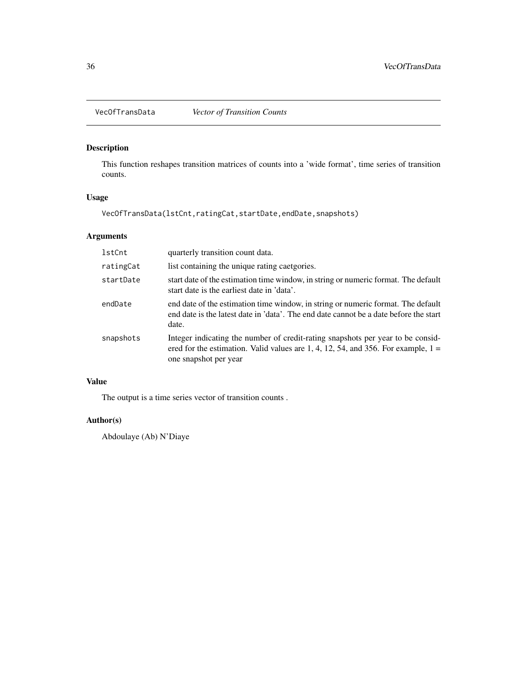<span id="page-35-0"></span>

# Description

This function reshapes transition matrices of counts into a 'wide format', time series of transition counts.

#### Usage

VecOfTransData(lstCnt,ratingCat,startDate,endDate,snapshots)

# Arguments

| lstCnt    | quarterly transition count data.                                                                                                                                                                |
|-----------|-------------------------------------------------------------------------------------------------------------------------------------------------------------------------------------------------|
| ratingCat | list containing the unique rating caetgories.                                                                                                                                                   |
| startDate | start date of the estimation time window, in string or numeric format. The default<br>start date is the earliest date in 'data'.                                                                |
| endDate   | end date of the estimation time window, in string or numeric format. The default<br>end date is the latest date in 'data'. The end date cannot be a date before the start<br>date.              |
| snapshots | Integer indicating the number of credit-rating snapshots per year to be consid-<br>ered for the estimation. Valid values are 1, 4, 12, 54, and 356. For example, $1 =$<br>one snapshot per year |

# Value

The output is a time series vector of transition counts .

#### Author(s)

Abdoulaye (Ab) N'Diaye